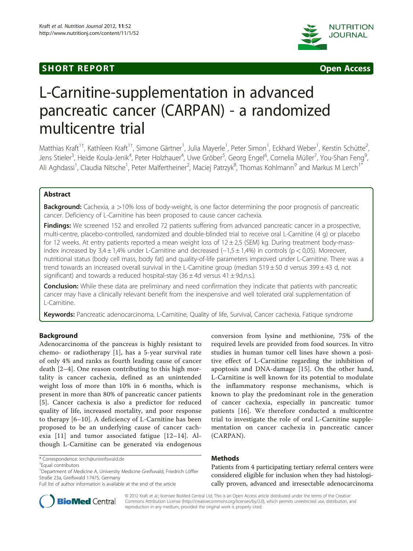## **SHORT REPORT SHORT CONSUMING THE CONSUMING THE CONSUMING THE CONSUMING THE CONSUMING THE CONSUMING THE CONSUMING THE CONSUMING THE CONSUMING THE CONSUMING THE CONSUMING THE CONSUMING THE CONSUMING THE CONSUMING THE CO**





# L-Carnitine-supplementation in advanced pancreatic cancer (CARPAN) - a randomized multicentre trial

Matthias Kraft<sup>1†</sup>, Kathleen Kraft<sup>1†</sup>, Simone Gärtner<sup>1</sup>, Julia Mayerle<sup>1</sup>, Peter Simon<sup>1</sup>, Eckhard Weber<sup>1</sup>, Kerstin Schütte<sup>2</sup> , Jens Stieler<sup>3</sup>, Heide Koula-Jenik<sup>4</sup>, Peter Holzhauer<sup>4</sup>, Uwe Gröber<sup>5</sup>, Georg Engel<sup>6</sup>, Cornelia Müller<sup>7</sup>, You-Shan Feng<sup>9</sup> , Ali Aghdassi<sup>1</sup>, Claudia Nitsche<sup>1</sup>, Peter Malfertheiner<sup>2</sup>, Maciej Patrzyk<sup>8</sup>, Thomas Kohlmann<sup>9</sup> and Markus M Lerch<sup>1\*</sup>

## Abstract

**Background:** Cachexia, a >10% loss of body-weight, is one factor determining the poor prognosis of pancreatic cancer. Deficiency of L-Carnitine has been proposed to cause cancer cachexia.

Findings: We screened 152 and enrolled 72 patients suffering from advanced pancreatic cancer in a prospective, multi-centre, placebo-controlled, randomized and double-blinded trial to receive oral L-Carnitine (4 g) or placebo for 12 weeks. At entry patients reported a mean weight loss of  $12 \pm 2.5$  (SEM) kg. During treatment body-massindex increased by 3,4 ± 1,4% under L-Carnitine and decreased (−1,5 ± 1,4%) in controls (p < 0,05). Moreover, nutritional status (body cell mass, body fat) and quality-of-life parameters improved under L-Carnitine. There was a trend towards an increased overall survival in the L-Carnitine group (median 519 ± 50 d versus 399 ± 43 d, not significant) and towards a reduced hospital-stay  $(36 \pm 4d$  versus  $41 \pm 9d$ ,n.s.).

**Conclusion:** While these data are preliminary and need confirmation they indicate that patients with pancreatic cancer may have a clinically relevant benefit from the inexpensive and well tolerated oral supplementation of L-Carnitine.

Keywords: Pancreatic adenocarcinoma, L-Carnitine, Quality of life, Survival, Cancer cachexia, Fatique syndrome

## Background

Adenocarcinoma of the pancreas is highly resistant to chemo- or radiotherapy [\[1](#page-4-0)], has a 5-year survival rate of only 4% and ranks as fourth leading cause of cancer death [\[2](#page-4-0)–[4](#page-4-0)]. One reason contributing to this high mortality is cancer cachexia, defined as an unintended weight loss of more than 10% in 6 months, which is present in more than 80% of pancreatic cancer patients [[5](#page-4-0)]. Cancer cachexia is also a predictor for reduced quality of life, increased mortality, and poor response to therapy [[6](#page-4-0)–[10](#page-4-0)]. A deficiency of L-Carnitine has been proposed to be an underlying cause of cancer cachexia [\[11](#page-5-0)] and tumor associated fatigue [[12](#page-5-0)–[14](#page-5-0)]. Although L-Carnitine can be generated via endogenous

conversion from lysine and methionine, 75% of the required levels are provided from food sources. In vitro studies in human tumor cell lines have shown a positive effect of L-Carnitine regarding the inhibition of apoptosis and DNA-damage [[15\]](#page-5-0). On the other hand, L-Carnitine is well known for its potential to modulate the inflammatory response mechanisms, which is known to play the predominant role in the generation of cancer cachexia, especially in pancreatic tumor patients [[16\]](#page-5-0). We therefore conducted a multicentre trial to investigate the role of oral L-Carnitine supplementation on cancer cachexia in pancreatic cancer (CARPAN).

## Methods

Patients from 4 participating tertiary referral centers were considered eligible for inclusion when they had histologically proven, advanced and irresectable adenocarcinoma



© 2012 Kraft et al.; licensee BioMed Central Ltd. This is an Open Access article distributed under the terms of the Creative Commons Attribution License [\(http://creativecommons.org/licenses/by/2.0\)](http://creativecommons.org/licenses/by/2.0), which permits unrestricted use, distribution, and reproduction in any medium, provided the original work is properly cited.

<sup>\*</sup> Correspondence: [lerch@unireifswald.de](mailto:lerch@uni-greifswald.de) †

Equal contributors

<sup>&</sup>lt;sup>1</sup>Department of Medicine A, University Medicine Greifswald, Friedrich Löffler Straße 23a, Greifswald 17475, Germany

Full list of author information is available at the end of the article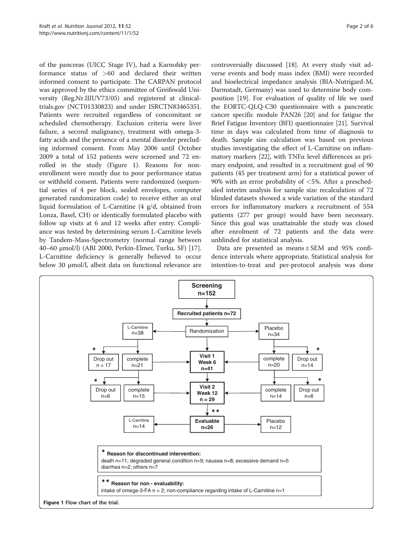of the pancreas (UICC Stage IV), had a Karnofsky performance status of >60 and declared their written informed consent to participate. The CARPAN protocol was approved by the ethics committee of Greifswald University (Reg.Nr.IIIUV73/05) and registered at clinicaltrials.gov (NCT01330823) and under ISRCTN83465351. Patients were recruited regardless of concomitant or scheduled chemotherapy. Exclusion criteria were liver failure, a second malignancy, treatment with omega-3 fatty acids and the presence of a mental disorder precluding informed consent. From May 2006 until October 2009 a total of 152 patients were screened and 72 enrolled in the study (Figure 1). Reasons for nonenrollment were mostly due to poor performance status or withheld consent. Patients were randomized (sequential series of 4 per block, sealed envelopes, computer generated randomization code) to receive either an oral liquid formulation of L-Carnitine (4 g/d, obtained from Lonza, Basel, CH) or identically formulated placebo with follow up visits at 6 and 12 weeks after entry. Compliance was tested by determining serum L-Carnitine levels by Tandem-Mass-Spectrometry (normal range between 40–60 μmol/l) (ABI 2000, Perkin-Elmer, Turku, SF) [[17](#page-5-0)]. L-Carnitine deficiency is generally believed to occur below 30 μmol/l, albeit data on functional relevance are controversially discussed [[18](#page-5-0)]. At every study visit adverse events and body mass index (BMI) were recorded and bioelectrical impedance analysis (BIA-Nutrigard-M, Darmstadt, Germany) was used to determine body composition [\[19](#page-5-0)]. For evaluation of quality of life we used the EORTC-QLQ-C30 questionnaire with a pancreatic cancer specific module PAN26 [[20](#page-5-0)] and for fatigue the Brief Fatigue Inventory (BFI) questionnaire [[21](#page-5-0)]. Survival time in days was calculated from time of diagnosis to death. Sample size calculation was based on previous studies investigating the effect of L-Carnitine on inflammatory markers [\[22](#page-5-0)], with TNFα level differences as primary endpoint, and resulted in a recruitment goal of 90 patients (45 per treatment arm) for a statistical power of 90% with an error probability of  $\langle 5\%$ . After a prescheduled interim analysis for sample size recalculation of 72 blinded datasets showed a wide variation of the standard errors for inflammatory markers a recruitment of 554 patients (277 per group) would have been necessary. Since this goal was unattainable the study was closed after enrolment of 72 patients and the data were unblinded for statistical analysis.

Data are presented as means ± SEM and 95% confidence intervals where appropriate. Statistical analysis for intention-to-treat and per-protocol analysis was done

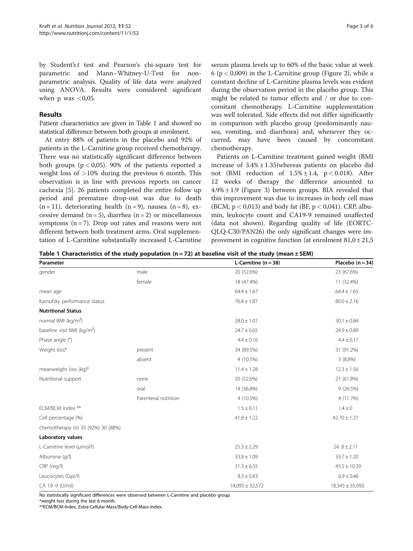by Student'st test and Pearson's chi-square test for parametric and Mann–Whitney-U-Test for nonparametric analysis. Quality of life data were analyzed using ANOVA. Results were considered significant when  $p$  was  $\lt 0.05$ .

## Results

Patient characteristics are given in Table 1 and showed no statistical difference between both groups at enrolment.

At entry 88% of patients in the placebo and 92% of patients in the L-Carnitine group received chemotherapy. There was no statistically significant difference between both groups ( $p < 0.05$ ). 90% of the patients reported a weight loss of >10% during the previous 6 month. This observation is in line with previous reports on cancer cachexia [\[5](#page-4-0)]. 26 patients completed the entire follow up period and premature drop-out was due to death  $(n = 11)$ , deteriorating health  $(n = 9)$ , nausea  $(n = 8)$ , excessive demand  $(n = 5)$ , diarrhea  $(n = 2)$  or miscellaneous symptoms  $(n = 7)$ . Drop out rates and reasons were not different between both treatment arms. Oral supplementation of L-Carnitine substantially increased L-Carnitine

serum plasma levels up to 60% of the basic value at week 6 ( $p < 0,009$ ) in the L-Carnitine group (Figure [2](#page-3-0)), while a constant decline of L-Carnitine plasma levels was evident during the observation period in the placebo group. This might be related to tumor effects and / or due to concomitant chemotherapy. L-Carnitine supplementation was well tolerated. Side effects did not differ significantly in comparison with placebo group (predominantly nausea, vomiting, and diarrhoea) and, whenever they occurred, may have been caused by concomitant chemotherapy.

Patients on L-Carnitine treatment gained weight (BMI increase of  $3.4\% \pm 1.35$ )whereas patients on placebo did not (BMI reduction of  $1.5\% \pm 1.4$ , p < 0.018). After 12 weeks of therapy the difference amounted to  $4.9\% \pm 1.9$  (Figure [3](#page-3-0)) between groups. BIA revealed that this improvement was due to increases in body cell mass (BCM,  $p < 0.013$ ) and body fat (BF,  $p < 0.041$ ). CRP, albumin, leukocyte count and CA19-9 remained unaffected (data not shown). Regarding quality of life (EORTC-QLQ-C30/PAN26) the only significant changes were improvement in cognitive function (at enrolment  $81,0 \pm 21,5$ 

Table 1 Characteristics of the study population ( $n = 72$ ) at baseline visit of the study (mean  $\pm$  SEM)

| Parameter                               |                      | L-Carnitine $(n = 38)$ | Placebo $(n = 34)$  |
|-----------------------------------------|----------------------|------------------------|---------------------|
| gender                                  | male                 | 20 (52.6%)             | 23 (67.6%)          |
|                                         | female               | 18 (47.4%)             | 11 (32.4%)          |
| mean age                                |                      | $64.4 \pm 1.67$        | $64.4 \pm 1.65$     |
| Karnofsky performance status            |                      | $76.8 \pm 1.87$        | $80.0 \pm 2.16$     |
| <b>Nutritional Status</b>               |                      |                        |                     |
| normal BMI (kg/m <sup>2</sup> )         |                      | $28.0 \pm 1.01$        | $30.1 \pm 0.84$     |
| baseline visit BMI (kg/m <sup>2</sup> ) |                      | $24.7 \pm 0.65$        | $24.9 \pm 0.89$     |
| Phase angle (°)                         |                      | $4.4 \pm 0.16$         | $4.4 \pm 0.17$      |
| Weight loss*                            | present              | 34 (89.5%)             | 31 (91.2%)          |
|                                         | absent               | 4 (10.5%)              | 3(8.8%)             |
| meanweight loss (kg)*                   |                      | $11.4 \pm 1.28$        | $12.3 \pm 1.56$     |
| Nutritional support                     | none                 | 20 (52.6%)             | 21 (61.8%)          |
|                                         | oral                 | 14 (36.8%)             | 9(26.5%)            |
|                                         | Parenteral nutrition | 4 (10.5%)              | 4 (11.7%)           |
| ECM/BCM index **                        |                      | $1.5 \pm 0.11$         | $1.4 \pm 0$         |
| Cell percentage (%)                     |                      | $41.8 \pm 1.22$        | $42.70 \pm 1.21$    |
| chemotherapy (n) 35 (92%) 30 (88%)      |                      |                        |                     |
| Laboratory values                       |                      |                        |                     |
| L-Carnitine level (µmol/l)              |                      | $25.3 \pm 2.29$        | 24. $8 \pm 2.11$    |
| Albumine (g/l)                          |                      | $33.8 \pm 1.09$        | $33.7 \pm 1.20$     |
| $CRP$ (mg/l)                            |                      | $31.3 \pm 6.55$        | $45.5 \pm 10.39$    |
| Leucocytes (Gpt/l)                      |                      | $8.3 \pm 0.83$         | $6.9 \pm 0.46$      |
| CA 19-9 (U/ml)                          |                      | $14,095 \pm 32,572$    | $18,345 \pm 35,950$ |

No statistically significant differences were observed between L-Carnitine and placebo group.

\*weight loss during the last 6 month.

\*\*ECM/BCM-Index, Extra-Cellular-Mass/Body-Cell-Mass-Index.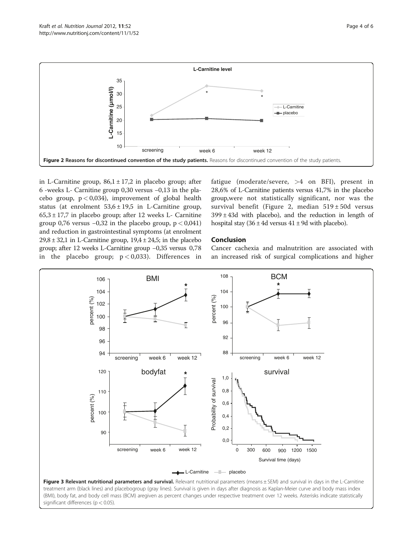<span id="page-3-0"></span>

in L-Carnitine group,  $86.1 \pm 17.2$  in placebo group; after 6 -weeks L- Carnitine group 0,30 versus −0,13 in the placebo group,  $p < 0.034$ ), improvement of global health status (at enrolment  $53.6 \pm 19.5$  in L-Carnitine group,  $65,3 \pm 17,7$  in placebo group; after 12 weeks L- Carnitine group 0,76 versus  $-0.32$  in the placebo group,  $p < 0.041$ ) and reduction in gastrointestinal symptoms (at enrolment  $29,8 \pm 32,1$  in L-Carnitine group,  $19,4 \pm 24,5$ ; in the placebo group; after 12 weeks L-Carnitine group −0,35 versus 0,78 in the placebo group;  $p < 0.033$ ). Differences in

fatigue (moderate/severe, >4 on BFI), present in 28,6% of L-Carnitine patients versus 41,7% in the placebo group,were not statistically significant, nor was the survival benefit (Figure 2, median 519 ± 50d versus  $399 \pm 43$ d with placebo), and the reduction in length of hospital stay  $(36 \pm 4d$  versus  $41 \pm 9d$  with placebo).

## Conclusion

Cancer cachexia and malnutrition are associated with an increased risk of surgical complications and higher



Figure 3 Relevant nutritional parameters and survival. Relevant nutritional parameters (means ± SEM) and survival in days in the L-Carnitine treatment arm (black lines) and placebogroup (gray lines). Survival is given in days after diagnosis as Kaplan-Meier curve and body mass index (BMI), body fat, and body cell mass (BCM) aregiven as percent changes under respective treatment over 12 weeks. Asterisks indicate statistically significant differences (p < 0.05).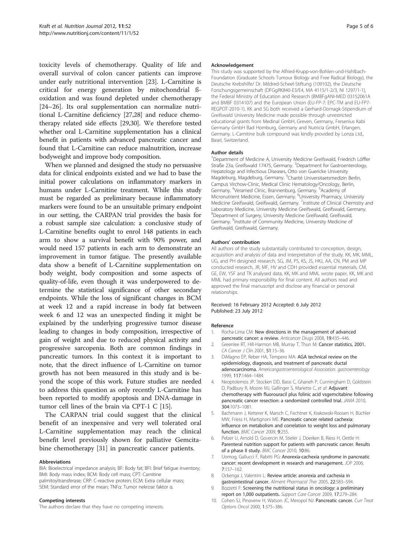<span id="page-4-0"></span>toxicity levels of chemotherapy. Quality of life and overall survival of colon cancer patients can improve under early nutritional intervention [\[23](#page-5-0)]. L-Carnitine is critical for energy generation by mitochondrial ßoxidation and was found depleted under chemotherapy [[24](#page-5-0)–[26](#page-5-0)]. Its oral supplementation can normalize nutritional L-Carnitine deficiency [\[27,28\]](#page-5-0) and reduce chemotherapy related side effects [\[29,30\]](#page-5-0). We therefore tested whether oral L-Carnitine supplementation has a clinical benefit in patients with advanced pancreatic cancer and found that L-Carnitine can reduce malnutrition, increase bodyweight and improve body composition.

When we planned and designed the study no persuasive data for clinical endpoints existed and we had to base the initial power calculations on inflammatory markers in humans under L-Carnitine treatment. While this study must be regarded as preliminary because inflammatory markers were found to be an unsuitable primary endpoint in our setting, the CARPAN trial provides the basis for a robust sample size calculation: a conclusive study of L-Carnitine benefits ought to enrol 148 patients in each arm to show a survival benefit with 90% power, and would need 157 patients in each arm to demonstrate an improvement in tumor fatigue. The presently available data show a benefit of L-Carnitine supplementation on body weight, body composition and some aspects of quality-of-life, even though it was underpowered to determine the statistical significance of other secondary endpoints. While the loss of significant changes in BCM at week 12 and a rapid increase in body fat between week 6 and 12 was an unexpected finding it might be explained by the underlying progressive tumor disease leading to changes in body composition, irrespective of gain of weight and due to reduced physical activity and progressive sarcopenia. Both are common findings in pancreatic tumors. In this context it is important to note, that the direct influence of L-Carnitine on tumor growth has not been measured in this study and is beyond the scope of this work. Future studies are needed to address this question as only recently L-Carnitine has been reported to modify apoptosis and DNA-damage in tumor cell lines of the brain via CPT-1 C [[15](#page-5-0)].

The CARPAN trial could suggest that the clinical benefit of an inexpensive and very well tolerated oral L-Carnitine supplementation may reach the clinical benefit level previously shown for palliative Gemcitabine chemotherapy [\[31](#page-5-0)] in pancreatic cancer patients.

#### Abbreviations

BIA: Bioelectrical impedance analysis; BF: Body fat; BFI: Brief fatigue inventory; BMI: Body mass index; BCM: Body cell mass; CPT: Carnitine palmitoyltransferase; CRP: C-reactive protein; ECM: Extra cellular mass; SEM: Standard error of the mean; TNFα: Tumor nekrose faktor α.

#### Competing interests

The authors declare that they have no competing interests.

#### Acknowledgement

This study was supported by the Alfried-Krupp-von-Bohlen-und-Hahlbach-Foundation (Graduate Schools Tumour Biology and Free Radical Biology), the Deutsche Krebshilfe/ Dr. Mildred-Scheel-Stiftung (109102), the Deutsche Forschungsgemeinschaft (DFGgRK840-E3/E4, MA 4115/1-2/3, NI 1297/1-1), the Federal Ministry of Education and Research (BMBFgANI-MED 03152061A and BMBF 0314107) and the European Union (EU-FP-7: EPC-TM and EU-FP7- REGPOT-2010-1). KK and SG both received a Gerhard-Domagk-Stipendium of Greifswald University Medicine made possible through unrestricted educational grants from Medinal GmbH, Greven, Germany, Fresenius Kabi Germany GmbH Bad Homburg, Germany and Nutricia GmbH, Erlangen, Germany. L-Carnitine bulk compound was kindly provided by Lonza Ltd., Basel, Switzerland.

#### Author details

<sup>1</sup>Department of Medicine A, University Medicine Greifswald, Friedrich Löffler Straße 23a, Greifswald 17475, Germany. <sup>2</sup>Department for Gastroenterology, Hepatology and Infectious Diseases, Otto von Guericke University Magdeburg, Magdeburg, Germany. <sup>3</sup>Charité Universitaetsmedizin Berlin, Campus Virchow-Clinic, Medical Clinic Hematology/Oncology, Berlin, Germany. <sup>4</sup>Veramed Clinic, Brannenburg, Germany. <sup>5</sup>Academy of Micronutrient Medicine, Essen, Germany. <sup>6</sup>University Pharmacy, University Medicine Greifswald, Greifswald, Germany. <sup>7</sup>Institute of Clinical Chemistry and Laboratory Medicine, University Medicine Greifswald, Greifswald, Germany. 8 Department of Surgery, University Medicine Greifswald, Greifswald, Germany. <sup>9</sup>Institute of Community Medicine, University Medicine of Greifswald, Greifswald, Germany.

#### Authors' contribution

All authors of the study substantially contributed to conception, design, acquisition and analysis of data and interpretation of the study. KK, MK, MML, UG, and PH designed research, SG, JM, PS, KS, JS, HKJ, AA, CN, PM and MP conducted research, JR, MF, HV and CDH provided essential materials, CM, GE, EW, YSF and TK analysed data, KK, MK and MML wrote paper, KK, MK and MML had primary responsibility for final content. All authors read and approved the final manuscript and disclose any financial or personal relationships.

#### Received: 16 February 2012 Accepted: 6 July 2012 Published: 23 July 2012

#### Reference

- 1. Rocha-Lima CM: New directions in the management of advanced pancreatic cancer: a review. Anticancer Drugs 2008, 19:435–446.
- 2. Greenlee RT, Hill-Harmon MB, Murray T, Thun M: Cancer statistics, 2001. CA Cancer J Clin 2001, 51:15–36.
- 3. DiMagno EP, Reber HA, Tempero MA: AGA technical review on the epidemiology, diagnosis, and treatment of pancreatic ductal adenocarcinoma. Americangastroenterological Association. gastroenterology 1999, 117:1464–1484.
- 4. Neoptolemos JP, Stocken DD, Bassi C, Ghaneh P, Cunningham D, Goldstein D, Padbury R, Moore MJ, Gallinger S, Mariette C, et al: Adjuvant chemotherapy with fluorouracil plus folinic acid vsgemcitabine following pancreatic cancer resection: a randomized controlled trial. JAMA 2010, 304:1073–1081.
- 5. Bachmann J, Ketterer K, Marsch C, Fechtner K, Krakowski-Roosen H, Büchler MW, Friess H, Martignoni ME: Pancreatic cancer related cachexia: influence on metabolism and correlation to weight loss and pulmonary function. BMC Cancer 2009, 9:255.
- 6. Pelzer U, Arnold D, Govercin M, Stieler J, Doerken B, Riess H, Oettle H: Parenteral nutrition support for patients with pancreatic cancer. Results of a phase II study. BMC Cancer 2010, 10:86.
- 7. Uomog, Gallucci F, Rabitti PG: Anorexia-cachexia syndrome in pancreatic cancer: recent development in research and management. JOP 2006, 7:157–162.
- 8. Ockenga J, Valentini L: Review article: anorexia and cachexia in gastrointestinal cancer. Aliment Pharmacol Ther 2005, 22:583–594.
- Bozzetti F: Screening the nutritional status in oncology: a preliminary report on 1,000 outpatients. Support Care Cancer 2009, 17:279–284.
- 10. Cohen SJ, Pinoverw H, Watson JC, Meropol NJ: Pancreatic cancer. Curr Treat Options Oncol 2000, 1:375–386.